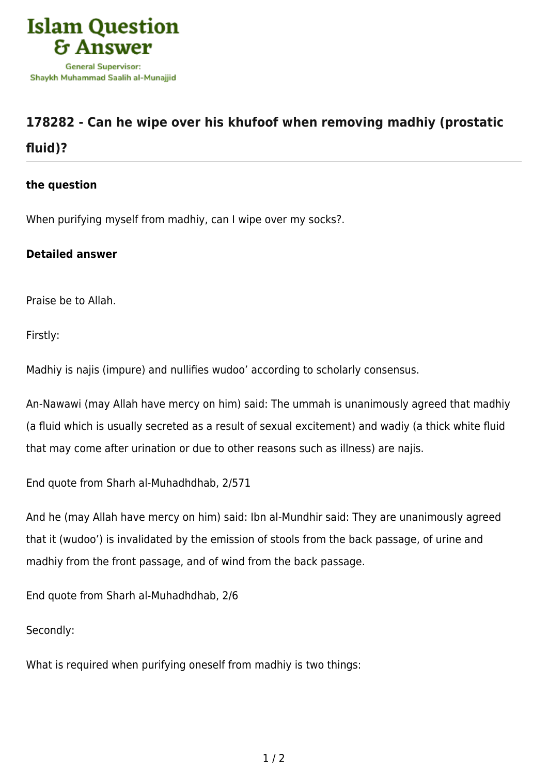

## **[178282 - Can he wipe over his khufoof when removing madhiy \(prostatic](https://islamqa.com/en/answers/178282/can-he-wipe-over-his-khufoof-when-removing-madhiy-prostatic-fluid) [fluid\)?](https://islamqa.com/en/answers/178282/can-he-wipe-over-his-khufoof-when-removing-madhiy-prostatic-fluid)**

## **the question**

When purifying myself from madhiy, can I wipe over my socks?.

## **Detailed answer**

Praise be to Allah.

Firstly:

Madhiy is najis (impure) and nullifies wudoo' according to scholarly consensus.

An-Nawawi (may Allah have mercy on him) said: The ummah is unanimously agreed that madhiy (a fluid which is usually secreted as a result of sexual excitement) and wadiy (a thick white fluid that may come after urination or due to other reasons such as illness) are najis.

End quote from Sharh al-Muhadhdhab, 2/571

And he (may Allah have mercy on him) said: Ibn al-Mundhir said: They are unanimously agreed that it (wudoo') is invalidated by the emission of stools from the back passage, of urine and madhiy from the front passage, and of wind from the back passage.

End quote from Sharh al-Muhadhdhab, 2/6

Secondly:

What is required when purifying oneself from madhiy is two things: